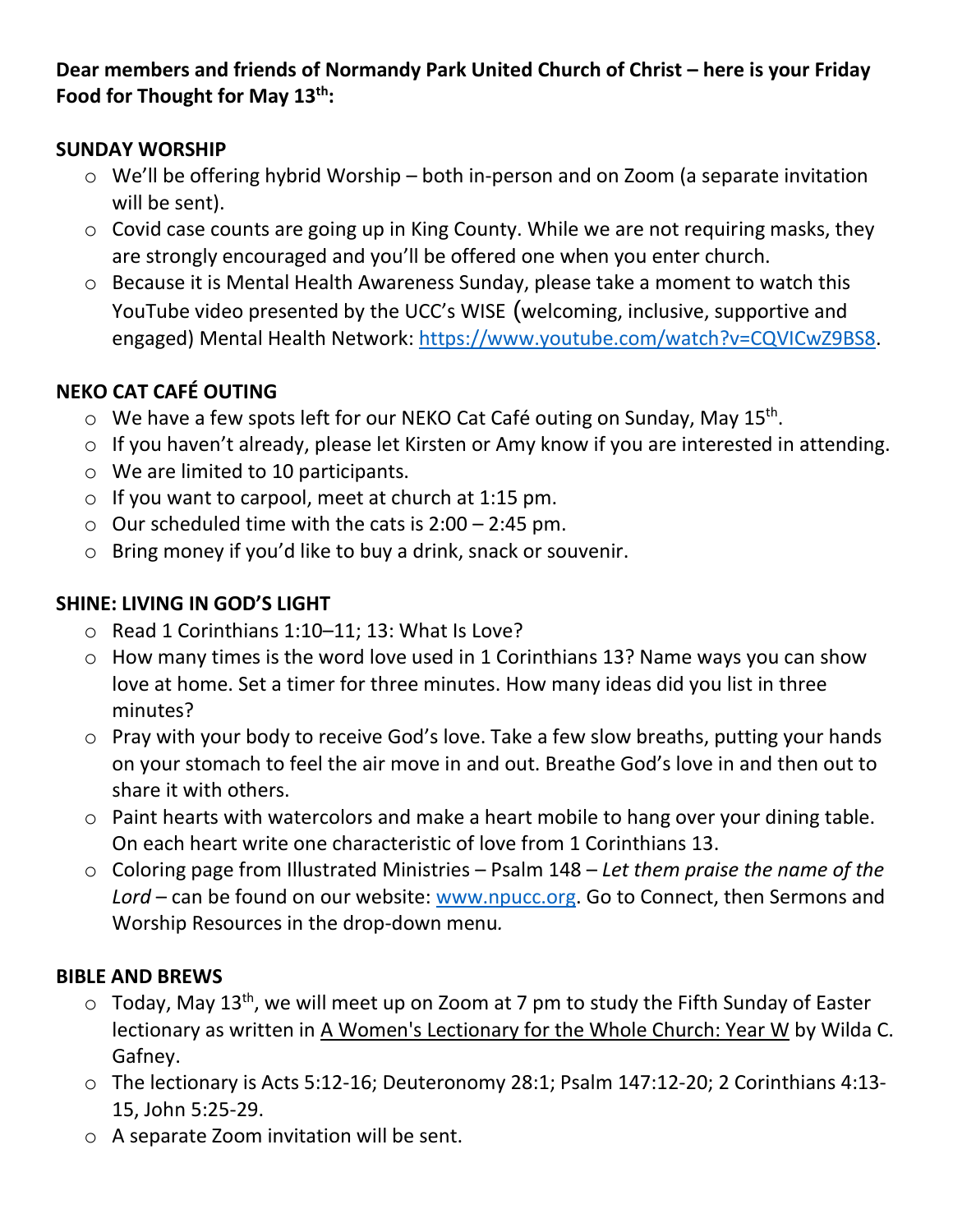**Dear members and friends of Normandy Park United Church of Christ – here is your Friday Food for Thought for May 13th:**

### **SUNDAY WORSHIP**

- o We'll be offering hybrid Worship both in-person and on Zoom (a separate invitation will be sent).
- o Covid case counts are going up in King County. While we are not requiring masks, they are strongly encouraged and you'll be offered one when you enter church.
- o Because it is Mental Health Awareness Sunday, please take a moment to watch this YouTube video presented by the UCC's WISE (welcoming, inclusive, supportive and engaged) Mental Health Network: [https://www.youtube.com/watch?v=CQVICwZ9BS8.](https://www.youtube.com/watch?v=CQVICwZ9BS8)

# **NEKO CAT CAFÉ OUTING**

- $\circ$  We have a few spots left for our NEKO Cat Café outing on Sunday, May 15<sup>th</sup>.
- o If you haven't already, please let Kirsten or Amy know if you are interested in attending.
- o We are limited to 10 participants.
- $\circ$  If you want to carpool, meet at church at 1:15 pm.
- $\circ$  Our scheduled time with the cats is 2:00 2:45 pm.
- o Bring money if you'd like to buy a drink, snack or souvenir.

# **SHINE: LIVING IN GOD'S LIGHT**

- o Read 1 Corinthians 1:10–11; 13: What Is Love?
- o How many times is the word love used in 1 Corinthians 13? Name ways you can show love at home. Set a timer for three minutes. How many ideas did you list in three minutes?
- o Pray with your body to receive God's love. Take a few slow breaths, putting your hands on your stomach to feel the air move in and out. Breathe God's love in and then out to share it with others.
- o Paint hearts with watercolors and make a heart mobile to hang over your dining table. On each heart write one characteristic of love from 1 Corinthians 13.
- o Coloring page from Illustrated Ministries Psalm 148 *Let them praise the name of the Lord* – can be found on our website: [www.npucc.org.](http://www.npucc.org/) Go to Connect, then Sermons and Worship Resources in the drop-down menu*.*

# **BIBLE AND BREWS**

- $\circ$  Today, May 13<sup>th</sup>, we will meet up on Zoom at 7 pm to study the Fifth Sunday of Easter lectionary as written in A Women's Lectionary for the Whole Church: Year W by Wilda C. Gafney.
- o The lectionary is Acts 5:12-16; Deuteronomy 28:1; Psalm 147:12-20; 2 Corinthians 4:13- 15, John 5:25-29.
- o A separate Zoom invitation will be sent.